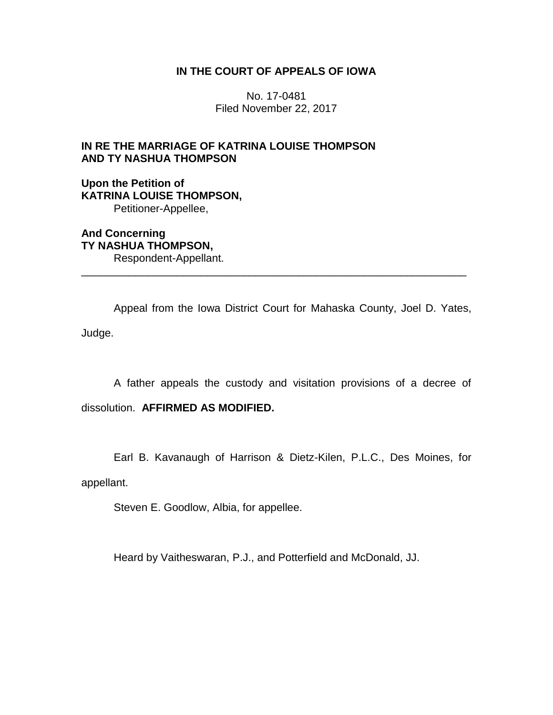# **IN THE COURT OF APPEALS OF IOWA**

No. 17-0481 Filed November 22, 2017

# **IN RE THE MARRIAGE OF KATRINA LOUISE THOMPSON AND TY NASHUA THOMPSON**

**Upon the Petition of KATRINA LOUISE THOMPSON,** Petitioner-Appellee,

**And Concerning TY NASHUA THOMPSON,** Respondent-Appellant.

Appeal from the Iowa District Court for Mahaska County, Joel D. Yates, Judge.

\_\_\_\_\_\_\_\_\_\_\_\_\_\_\_\_\_\_\_\_\_\_\_\_\_\_\_\_\_\_\_\_\_\_\_\_\_\_\_\_\_\_\_\_\_\_\_\_\_\_\_\_\_\_\_\_\_\_\_\_\_\_\_\_

A father appeals the custody and visitation provisions of a decree of

dissolution. **AFFIRMED AS MODIFIED.** 

Earl B. Kavanaugh of Harrison & Dietz-Kilen, P.L.C., Des Moines, for

appellant.

Steven E. Goodlow, Albia, for appellee.

Heard by Vaitheswaran, P.J., and Potterfield and McDonald, JJ.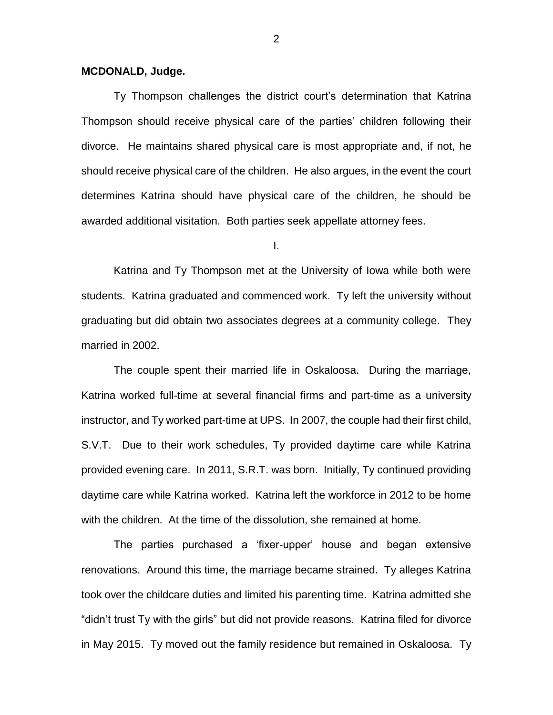## **MCDONALD, Judge.**

Ty Thompson challenges the district court's determination that Katrina Thompson should receive physical care of the parties' children following their divorce. He maintains shared physical care is most appropriate and, if not, he should receive physical care of the children. He also argues, in the event the court determines Katrina should have physical care of the children, he should be awarded additional visitation. Both parties seek appellate attorney fees.

I.

Katrina and Ty Thompson met at the University of Iowa while both were students. Katrina graduated and commenced work. Ty left the university without graduating but did obtain two associates degrees at a community college. They married in 2002.

The couple spent their married life in Oskaloosa. During the marriage, Katrina worked full-time at several financial firms and part-time as a university instructor, and Ty worked part-time at UPS. In 2007, the couple had their first child, S.V.T. Due to their work schedules, Ty provided daytime care while Katrina provided evening care. In 2011, S.R.T. was born. Initially, Ty continued providing daytime care while Katrina worked. Katrina left the workforce in 2012 to be home with the children. At the time of the dissolution, she remained at home.

The parties purchased a 'fixer-upper' house and began extensive renovations. Around this time, the marriage became strained. Ty alleges Katrina took over the childcare duties and limited his parenting time. Katrina admitted she "didn't trust Ty with the girls" but did not provide reasons. Katrina filed for divorce in May 2015. Ty moved out the family residence but remained in Oskaloosa. Ty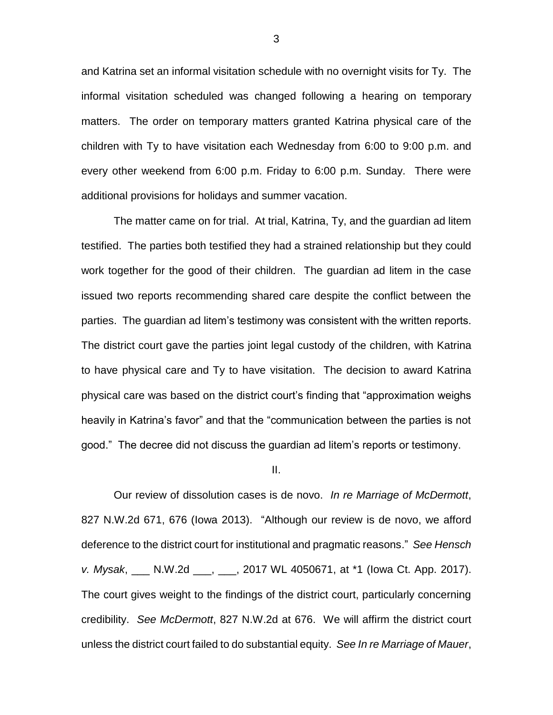and Katrina set an informal visitation schedule with no overnight visits for Ty. The informal visitation scheduled was changed following a hearing on temporary matters. The order on temporary matters granted Katrina physical care of the children with Ty to have visitation each Wednesday from 6:00 to 9:00 p.m. and every other weekend from 6:00 p.m. Friday to 6:00 p.m. Sunday. There were additional provisions for holidays and summer vacation.

The matter came on for trial. At trial, Katrina, Ty, and the guardian ad litem testified. The parties both testified they had a strained relationship but they could work together for the good of their children. The guardian ad litem in the case issued two reports recommending shared care despite the conflict between the parties. The guardian ad litem's testimony was consistent with the written reports. The district court gave the parties joint legal custody of the children, with Katrina to have physical care and Ty to have visitation. The decision to award Katrina physical care was based on the district court's finding that "approximation weighs heavily in Katrina's favor" and that the "communication between the parties is not good." The decree did not discuss the guardian ad litem's reports or testimony.

#### II.

Our review of dissolution cases is de novo. *In re Marriage of McDermott*, 827 N.W.2d 671, 676 (Iowa 2013). "Although our review is de novo, we afford deference to the district court for institutional and pragmatic reasons." *See Hensch v. Mysak*, \_\_\_ N.W.2d \_\_\_, \_\_\_, 2017 WL 4050671, at \*1 (Iowa Ct. App. 2017). The court gives weight to the findings of the district court, particularly concerning credibility. *See McDermott*, 827 N.W.2d at 676. We will affirm the district court unless the district court failed to do substantial equity. *See In re Marriage of Mauer*,

3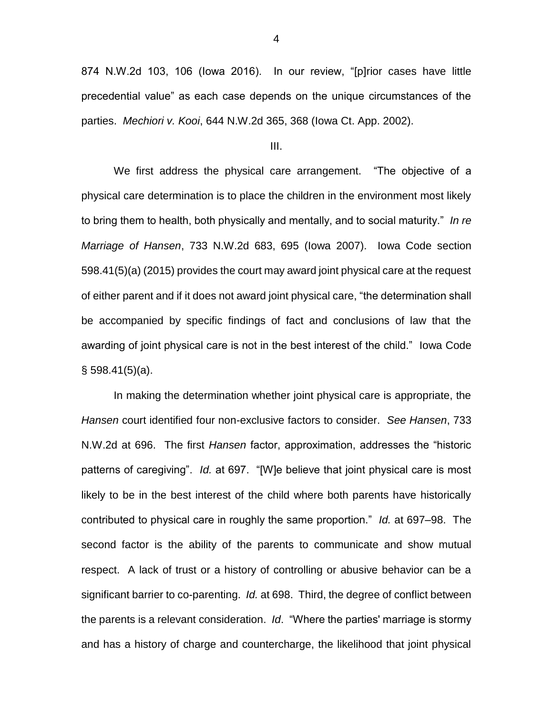874 N.W.2d 103, 106 (Iowa 2016). In our review, "[p]rior cases have little precedential value" as each case depends on the unique circumstances of the parties. *Mechiori v. Kooi*, 644 N.W.2d 365, 368 (Iowa Ct. App. 2002).

III.

We first address the physical care arrangement. "The objective of a physical care determination is to place the children in the environment most likely to bring them to health, both physically and mentally, and to social maturity." *In re Marriage of Hansen*, 733 N.W.2d 683, 695 (Iowa 2007). Iowa Code section 598.41(5)(a) (2015) provides the court may award joint physical care at the request of either parent and if it does not award joint physical care, "the determination shall be accompanied by specific findings of fact and conclusions of law that the awarding of joint physical care is not in the best interest of the child." Iowa Code  $\S$  598.41(5)(a).

In making the determination whether joint physical care is appropriate, the *Hansen* court identified four non-exclusive factors to consider. *See Hansen*, 733 N.W.2d at 696. The first *Hansen* factor, approximation, addresses the "historic patterns of caregiving". *Id.* at 697. "[W]e believe that joint physical care is most likely to be in the best interest of the child where both parents have historically contributed to physical care in roughly the same proportion." *Id.* at 697–98. The second factor is the ability of the parents to communicate and show mutual respect. A lack of trust or a history of controlling or abusive behavior can be a significant barrier to co-parenting. *Id.* at 698. Third, the degree of conflict between the parents is a relevant consideration. *Id*. "Where the parties' marriage is stormy and has a history of charge and countercharge, the likelihood that joint physical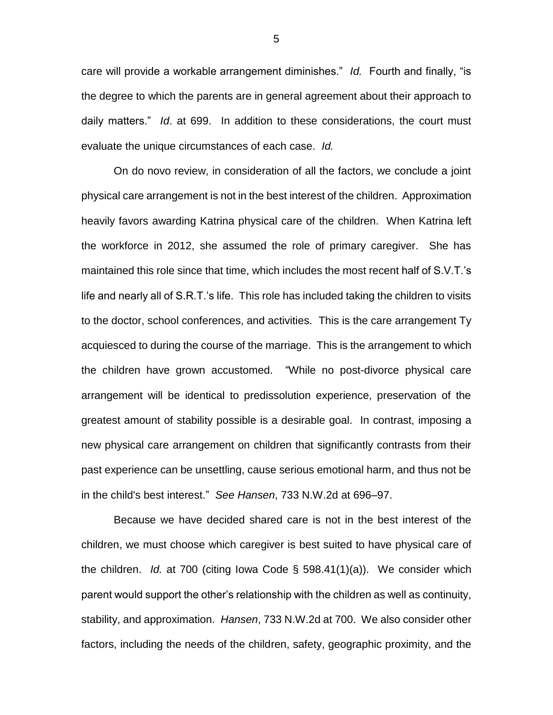care will provide a workable arrangement diminishes." *Id.* Fourth and finally, "is the degree to which the parents are in general agreement about their approach to daily matters." *Id*. at 699. In addition to these considerations, the court must evaluate the unique circumstances of each case. *Id.*

On do novo review, in consideration of all the factors, we conclude a joint physical care arrangement is not in the best interest of the children. Approximation heavily favors awarding Katrina physical care of the children. When Katrina left the workforce in 2012, she assumed the role of primary caregiver. She has maintained this role since that time, which includes the most recent half of S.V.T.'s life and nearly all of S.R.T.'s life. This role has included taking the children to visits to the doctor, school conferences, and activities. This is the care arrangement Ty acquiesced to during the course of the marriage. This is the arrangement to which the children have grown accustomed. "While no post-divorce physical care arrangement will be identical to predissolution experience, preservation of the greatest amount of stability possible is a desirable goal. In contrast, imposing a new physical care arrangement on children that significantly contrasts from their past experience can be unsettling, cause serious emotional harm, and thus not be in the child's best interest." *See Hansen*, 733 N.W.2d at 696–97.

Because we have decided shared care is not in the best interest of the children, we must choose which caregiver is best suited to have physical care of the children. *Id.* at 700 (citing Iowa Code § 598.41(1)(a)). We consider which parent would support the other's relationship with the children as well as continuity, stability, and approximation. *Hansen*, 733 N.W.2d at 700. We also consider other factors, including the needs of the children, safety, geographic proximity, and the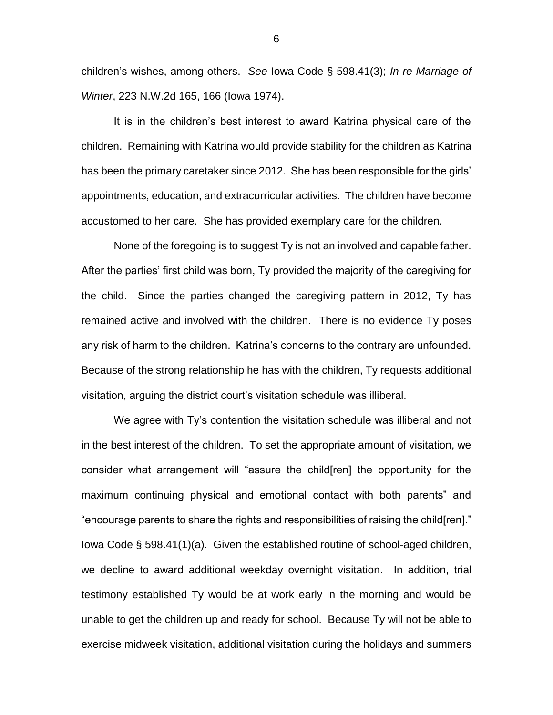children's wishes, among others. *See* Iowa Code § 598.41(3); *In re Marriage of Winter*, 223 N.W.2d 165, 166 (Iowa 1974).

It is in the children's best interest to award Katrina physical care of the children. Remaining with Katrina would provide stability for the children as Katrina has been the primary caretaker since 2012. She has been responsible for the girls' appointments, education, and extracurricular activities. The children have become accustomed to her care. She has provided exemplary care for the children.

None of the foregoing is to suggest Ty is not an involved and capable father. After the parties' first child was born, Ty provided the majority of the caregiving for the child. Since the parties changed the caregiving pattern in 2012, Ty has remained active and involved with the children. There is no evidence Ty poses any risk of harm to the children. Katrina's concerns to the contrary are unfounded. Because of the strong relationship he has with the children, Ty requests additional visitation, arguing the district court's visitation schedule was illiberal.

We agree with Ty's contention the visitation schedule was illiberal and not in the best interest of the children. To set the appropriate amount of visitation, we consider what arrangement will "assure the child[ren] the opportunity for the maximum continuing physical and emotional contact with both parents" and "encourage parents to share the rights and responsibilities of raising the child[ren]." Iowa Code § 598.41(1)(a). Given the established routine of school-aged children, we decline to award additional weekday overnight visitation. In addition, trial testimony established Ty would be at work early in the morning and would be unable to get the children up and ready for school. Because Ty will not be able to exercise midweek visitation, additional visitation during the holidays and summers

6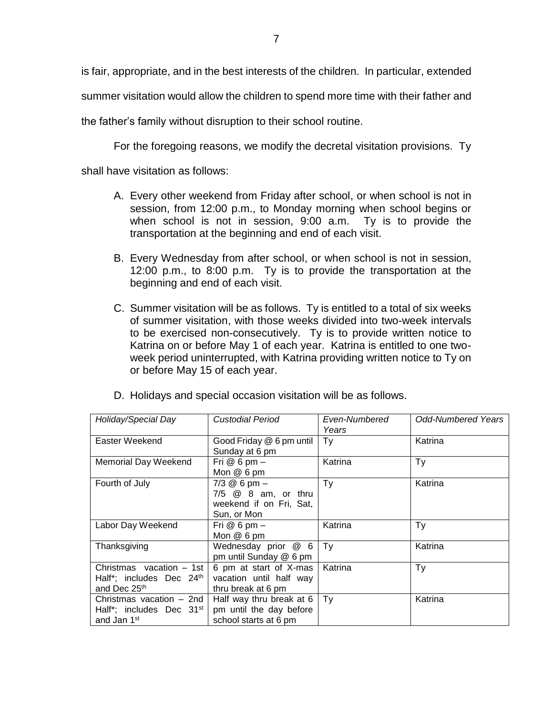is fair, appropriate, and in the best interests of the children. In particular, extended summer visitation would allow the children to spend more time with their father and the father's family without disruption to their school routine.

For the foregoing reasons, we modify the decretal visitation provisions. Ty

shall have visitation as follows:

- A. Every other weekend from Friday after school, or when school is not in session, from 12:00 p.m., to Monday morning when school begins or when school is not in session, 9:00 a.m. Ty is to provide the transportation at the beginning and end of each visit.
- B. Every Wednesday from after school, or when school is not in session, 12:00 p.m., to 8:00 p.m. Ty is to provide the transportation at the beginning and end of each visit.
- C. Summer visitation will be as follows. Ty is entitled to a total of six weeks of summer visitation, with those weeks divided into two-week intervals to be exercised non-consecutively. Ty is to provide written notice to Katrina on or before May 1 of each year. Katrina is entitled to one twoweek period uninterrupted, with Katrina providing written notice to Ty on or before May 15 of each year.

| Holiday/Special Day                                                                         | Custodial Period                                                                  | Even-Numbered<br>Years | <b>Odd-Numbered Years</b> |
|---------------------------------------------------------------------------------------------|-----------------------------------------------------------------------------------|------------------------|---------------------------|
| Easter Weekend                                                                              | Good Friday @ 6 pm until<br>Sunday at 6 pm                                        | Ty                     | Katrina                   |
| Memorial Day Weekend                                                                        | Fri $@6$ pm $-$<br>Mon @ 6 pm                                                     | Katrina                | Ty                        |
| Fourth of July                                                                              | $7/3$ @ 6 pm $-$<br>7/5 @ 8 am, or thru<br>weekend if on Fri, Sat,<br>Sun, or Mon | Ty                     | Katrina                   |
| Labor Day Weekend                                                                           | Fri $@6$ pm $-$<br>Mon @ 6 pm                                                     | Katrina                | Ty                        |
| Thanksgiving                                                                                | Wednesday prior @ 6<br>pm until Sunday @ 6 pm                                     | Ty                     | Katrina                   |
| Christmas vacation - 1st<br>Half*; includes Dec 24 <sup>th</sup><br>and Dec 25th            | 6 pm at start of X-mas<br>vacation until half way<br>thru break at 6 pm           | Katrina                | Ty                        |
| Christmas vacation - 2nd<br>Half*; includes Dec 31 <sup>st</sup><br>and Jan 1 <sup>st</sup> | Half way thru break at 6<br>pm until the day before<br>school starts at 6 pm      | Ty                     | Katrina                   |

D. Holidays and special occasion visitation will be as follows.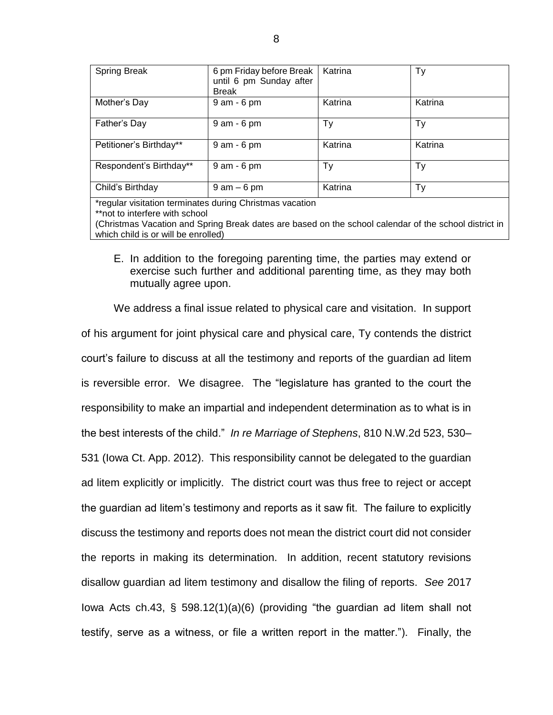| <b>Spring Break</b>                                      | 6 pm Friday before Break<br>until 6 pm Sunday after<br><b>Break</b> | Katrina | Ty      |  |
|----------------------------------------------------------|---------------------------------------------------------------------|---------|---------|--|
| Mother's Day                                             | 9 am - 6 pm                                                         | Katrina | Katrina |  |
| Father's Day                                             | $9$ am $-6$ pm                                                      | Тy      | Ty      |  |
| Petitioner's Birthday**                                  | $9$ am $-6$ pm                                                      | Katrina | Katrina |  |
| Respondent's Birthday**                                  | 9 am - 6 pm                                                         | Тy      | Ty      |  |
| Child's Birthday                                         | $9$ am $-6$ pm                                                      | Katrina | Ty      |  |
| *regular visitation terminates during Christmas vacation |                                                                     |         |         |  |

\*\*not to interfere with school

(Christmas Vacation and Spring Break dates are based on the school calendar of the school district in which child is or will be enrolled)

E. In addition to the foregoing parenting time, the parties may extend or exercise such further and additional parenting time, as they may both mutually agree upon.

We address a final issue related to physical care and visitation. In support of his argument for joint physical care and physical care, Ty contends the district court's failure to discuss at all the testimony and reports of the guardian ad litem is reversible error. We disagree. The "legislature has granted to the court the responsibility to make an impartial and independent determination as to what is in the best interests of the child." *In re Marriage of Stephens*, 810 N.W.2d 523, 530– 531 (Iowa Ct. App. 2012). This responsibility cannot be delegated to the guardian ad litem explicitly or implicitly. The district court was thus free to reject or accept the guardian ad litem's testimony and reports as it saw fit. The failure to explicitly discuss the testimony and reports does not mean the district court did not consider the reports in making its determination. In addition, recent statutory revisions disallow guardian ad litem testimony and disallow the filing of reports. *See* 2017 Iowa Acts ch.43, § 598.12(1)(a)(6) (providing "the guardian ad litem shall not testify, serve as a witness, or file a written report in the matter."). Finally, the